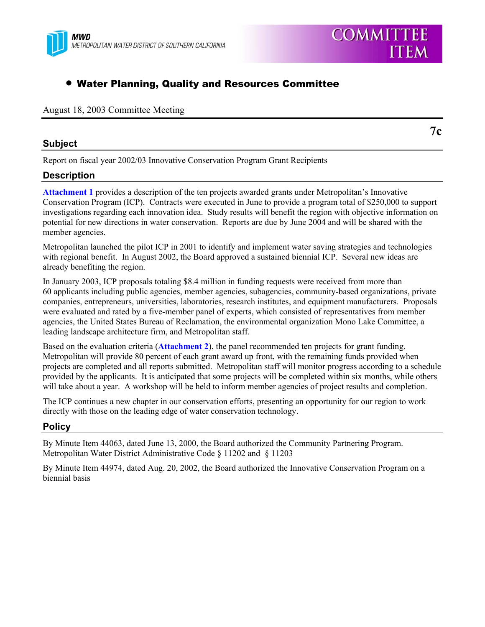

# • Water Planning, Quality and Resources Committee

#### August 18, 2003 Committee Meeting

#### **Subject**

**7c** 

**COMMITTEE** 

**ITEM** 

Report on fiscal year 2002/03 Innovative Conservation Program Grant Recipients

### **Description**

**Attachment 1** provides a description of the ten projects awarded grants under Metropolitan's Innovative Conservation Program (ICP). Contracts were executed in June to provide a program total of \$250,000 to support investigations regarding each innovation idea. Study results will benefit the region with objective information on potential for new directions in water conservation. Reports are due by June 2004 and will be shared with the member agencies.

Metropolitan launched the pilot ICP in 2001 to identify and implement water saving strategies and technologies with regional benefit. In August 2002, the Board approved a sustained biennial ICP. Several new ideas are already benefiting the region.

In January 2003, ICP proposals totaling \$8.4 million in funding requests were received from more than 60 applicants including public agencies, member agencies, subagencies, community-based organizations, private companies, entrepreneurs, universities, laboratories, research institutes, and equipment manufacturers. Proposals were evaluated and rated by a five-member panel of experts, which consisted of representatives from member agencies, the United States Bureau of Reclamation, the environmental organization Mono Lake Committee, a leading landscape architecture firm, and Metropolitan staff.

Based on the evaluation criteria (**Attachment 2**), the panel recommended ten projects for grant funding. Metropolitan will provide 80 percent of each grant award up front, with the remaining funds provided when projects are completed and all reports submitted. Metropolitan staff will monitor progress according to a schedule provided by the applicants. It is anticipated that some projects will be completed within six months, while others will take about a year. A workshop will be held to inform member agencies of project results and completion.

The ICP continues a new chapter in our conservation efforts, presenting an opportunity for our region to work directly with those on the leading edge of water conservation technology.

### **Policy**

By Minute Item 44063, dated June 13, 2000, the Board authorized the Community Partnering Program. Metropolitan Water District Administrative Code § 11202 and § 11203

By Minute Item 44974, dated Aug. 20, 2002, the Board authorized the Innovative Conservation Program on a biennial basis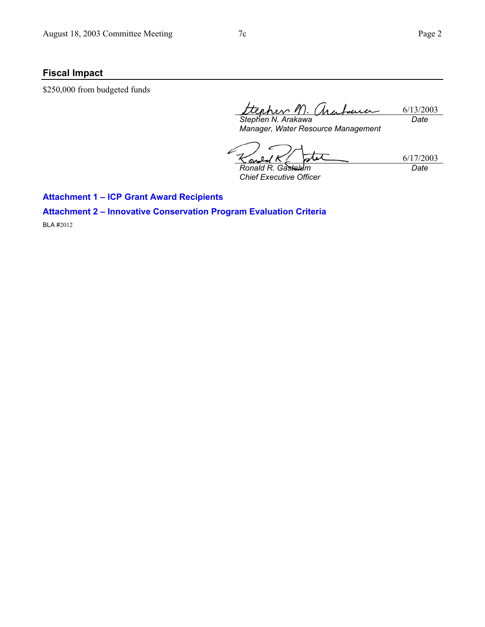6/17/2003

*Date* 

## **Fiscal Impact**

\$250,000 from budgeted funds

*Stephen N. Arakawa*  6/13/2003 'Ma fauer *Date* 

*Manager, Water Resource Management* 

ū Ş

*Ronald R. Gastelum Chief Executive Officer* 

**Attachment 1 – ICP Grant Award Recipients** 

**Attachment 2 – Innovative Conservation Program Evaluation Criteria** 

BLA #2012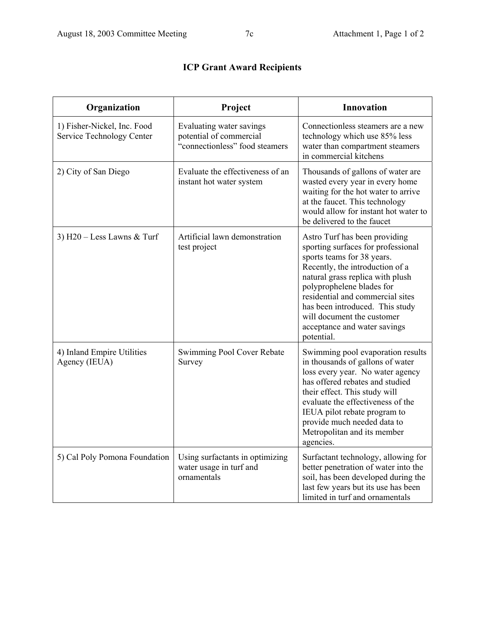|  |  |  | <b>ICP Grant Award Recipients</b> |
|--|--|--|-----------------------------------|
|--|--|--|-----------------------------------|

| Organization                                             | Project                                                                               | <b>Innovation</b>                                                                                                                                                                                                                                                                                                                                        |
|----------------------------------------------------------|---------------------------------------------------------------------------------------|----------------------------------------------------------------------------------------------------------------------------------------------------------------------------------------------------------------------------------------------------------------------------------------------------------------------------------------------------------|
| 1) Fisher-Nickel, Inc. Food<br>Service Technology Center | Evaluating water savings<br>potential of commercial<br>"connectionless" food steamers | Connectionless steamers are a new<br>technology which use 85% less<br>water than compartment steamers<br>in commercial kitchens                                                                                                                                                                                                                          |
| 2) City of San Diego                                     | Evaluate the effectiveness of an<br>instant hot water system                          | Thousands of gallons of water are<br>wasted every year in every home<br>waiting for the hot water to arrive<br>at the faucet. This technology<br>would allow for instant hot water to<br>be delivered to the faucet                                                                                                                                      |
| 3) $H20 - Less$ Lawns & Turf                             | Artificial lawn demonstration<br>test project                                         | Astro Turf has been providing<br>sporting surfaces for professional<br>sports teams for 38 years.<br>Recently, the introduction of a<br>natural grass replica with plush<br>polyprophelene blades for<br>residential and commercial sites<br>has been introduced. This study<br>will document the customer<br>acceptance and water savings<br>potential. |
| 4) Inland Empire Utilities<br>Agency (IEUA)              | Swimming Pool Cover Rebate<br>Survey                                                  | Swimming pool evaporation results<br>in thousands of gallons of water<br>loss every year. No water agency<br>has offered rebates and studied<br>their effect. This study will<br>evaluate the effectiveness of the<br>IEUA pilot rebate program to<br>provide much needed data to<br>Metropolitan and its member<br>agencies.                            |
| 5) Cal Poly Pomona Foundation                            | Using surfactants in optimizing<br>water usage in turf and<br>ornamentals             | Surfactant technology, allowing for<br>better penetration of water into the<br>soil, has been developed during the<br>last few years but its use has been<br>limited in turf and ornamentals                                                                                                                                                             |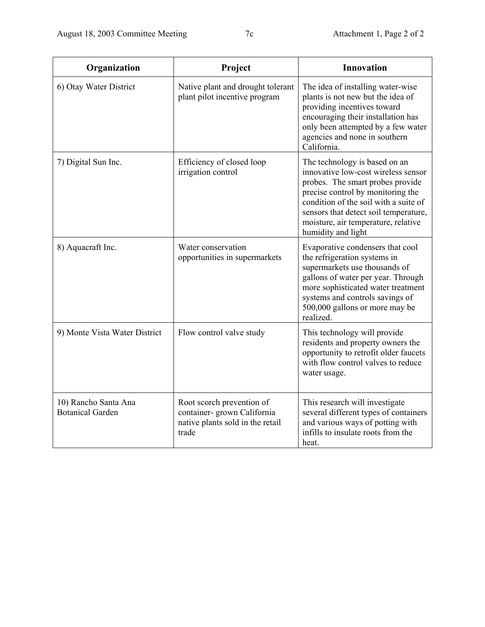| Organization                                    | Project                                                                                               | <b>Innovation</b>                                                                                                                                                                                                                                                                            |  |
|-------------------------------------------------|-------------------------------------------------------------------------------------------------------|----------------------------------------------------------------------------------------------------------------------------------------------------------------------------------------------------------------------------------------------------------------------------------------------|--|
| 6) Otay Water District                          | Native plant and drought tolerant<br>plant pilot incentive program                                    | The idea of installing water-wise<br>plants is not new but the idea of<br>providing incentives toward<br>encouraging their installation has<br>only been attempted by a few water<br>agencies and none in southern<br>California.                                                            |  |
| 7) Digital Sun Inc.                             | Efficiency of closed loop<br>irrigation control                                                       | The technology is based on an<br>innovative low-cost wireless sensor<br>probes. The smart probes provide<br>precise control by monitoring the<br>condition of the soil with a suite of<br>sensors that detect soil temperature,<br>moisture, air temperature, relative<br>humidity and light |  |
| 8) Aquacraft Inc.                               | Water conservation<br>opportunities in supermarkets                                                   | Evaporative condensers that cool<br>the refrigeration systems in<br>supermarkets use thousands of<br>gallons of water per year. Through<br>more sophisticated water treatment<br>systems and controls savings of<br>500,000 gallons or more may be<br>realized.                              |  |
| 9) Monte Vista Water District                   | Flow control valve study                                                                              | This technology will provide<br>residents and property owners the<br>opportunity to retrofit older faucets<br>with flow control valves to reduce<br>water usage.                                                                                                                             |  |
| 10) Rancho Santa Ana<br><b>Botanical Garden</b> | Root scorch prevention of<br>container- grown California<br>native plants sold in the retail<br>trade | This research will investigate<br>several different types of containers<br>and various ways of potting with<br>infills to insulate roots from the<br>heat.                                                                                                                                   |  |